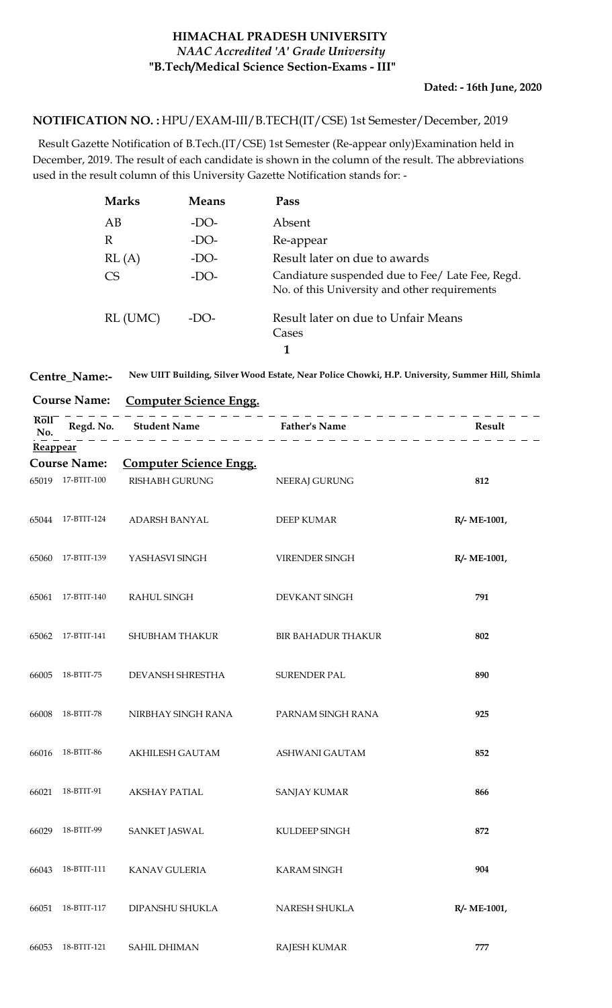## **HIMACHAL PRADESH UNIVERSITY "B.Tech/Medical Science Section-Exams - III"** *NAAC Accredited 'A' Grade University*

## **Dated: - 16th June, 2020**

## <code>NOTIFICATION NO.:</code> HPU/EXAM-III/B.TECH(IT/CSE) 1st Semester/December, 2019

 Result Gazette Notification of B.Tech.(IT/CSE) 1st Semester (Re-appear only)Examination held in December, 2019. The result of each candidate is shown in the column of the result. The abbreviations used in the result column of this University Gazette Notification stands for: -

| <b>Marks</b> | <b>Means</b> | Pass                                                                                              |
|--------------|--------------|---------------------------------------------------------------------------------------------------|
| AB           | $-DO-$       | Absent                                                                                            |
| R            | -DO-         | Re-appear                                                                                         |
| RL(A)        | $-DO-$       | Result later on due to awards                                                                     |
| CS           | $-DO-$       | Candiature suspended due to Fee/ Late Fee, Regd.<br>No. of this University and other requirements |
| RL (UMC)     | -DO-         | Result later on due to Unfair Means<br>Cases                                                      |
|              |              |                                                                                                   |

|  | Centre_Name:- New UIIT Building, Silver Wood Estate, Near Police Chowki, H.P. University, Summer Hill, Shimla |
|--|---------------------------------------------------------------------------------------------------------------|
|--|---------------------------------------------------------------------------------------------------------------|

| <b>Course Name:</b>               |                     | <b>Computer Science Engg.</b> |                           |              |
|-----------------------------------|---------------------|-------------------------------|---------------------------|--------------|
| $R\overline{o}$ l $\Gamma$<br>No. | Regd. No.           | <b>Student Name</b>           | <b>Father's Name</b>      | Result       |
| Reappear                          |                     |                               |                           |              |
|                                   | <b>Course Name:</b> | <b>Computer Science Engg.</b> |                           |              |
|                                   | 65019 17-BTIT-100   | <b>RISHABH GURUNG</b>         | NEERAJ GURUNG             | 812          |
| 65044                             | 17-BTIT-124         | ADARSH BANYAL                 | <b>DEEP KUMAR</b>         | R/- ME-1001, |
| 65060                             | 17-BTIT-139         | YASHASVI SINGH                | VIRENDER SINGH            | R/- ME-1001, |
| 65061                             | 17-BTIT-140         | RAHUL SINGH                   | DEVKANT SINGH             | 791          |
| 65062                             | 17-BTIT-141         | SHUBHAM THAKUR                | <b>BIR BAHADUR THAKUR</b> | 802          |
| 66005                             | 18-BTIT-75          | DEVANSH SHRESTHA              | SURENDER PAL              | 890          |
| 66008                             | 18-BTIT-78          | NIRBHAY SINGH RANA            | PARNAM SINGH RANA         | 925          |
| 66016                             | 18-BTIT-86          | AKHILESH GAUTAM               | ASHWANI GAUTAM            | 852          |
| 66021                             | 18-BTIT-91          | <b>AKSHAY PATIAL</b>          | <b>SANJAY KUMAR</b>       | 866          |
| 66029                             | 18-BTIT-99          | <b>SANKET JASWAL</b>          | KULDEEP SINGH             | 872          |
| 66043                             | 18-BTIT-111         | <b>KANAV GULERIA</b>          | <b>KARAM SINGH</b>        | 904          |
| 66051                             | 18-BTIT-117         | DIPANSHU SHUKLA               | NARESH SHUKLA             | R/- ME-1001, |
| 66053                             | 18-BTIT-121         | <b>SAHIL DHIMAN</b>           | <b>RAJESH KUMAR</b>       | 777          |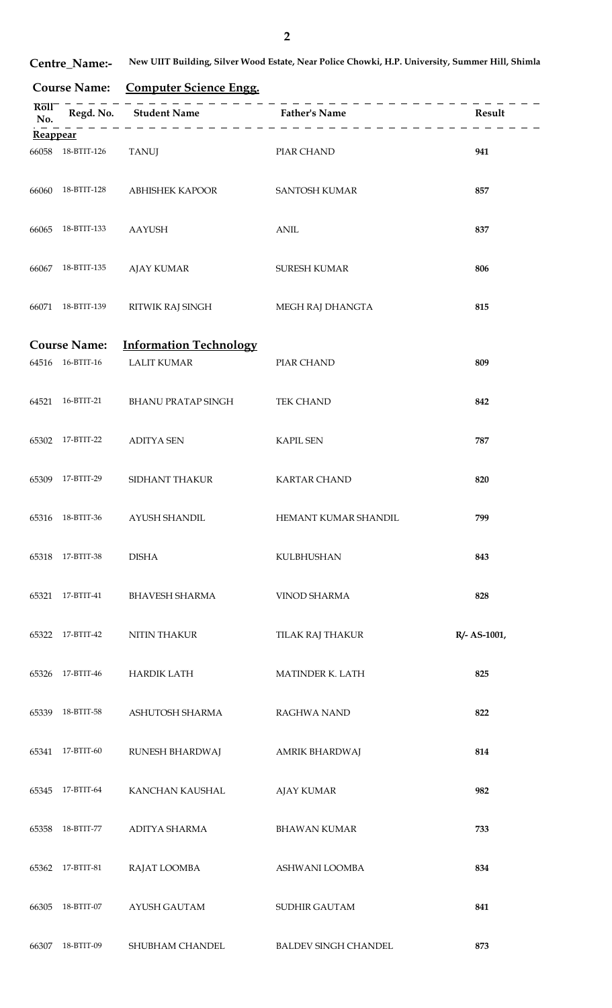**Centre\_Name:- New UIIT Building, Silver Wood Estate, Near Police Chowki, H.P. University, Summer Hill, Shimla**

**Course Name: Computer Science Engg.**

| Roll<br>No. |                                   | Regd. No. Student Name Father's Name                |                             | Result       |
|-------------|-----------------------------------|-----------------------------------------------------|-----------------------------|--------------|
| Reappear    |                                   |                                                     |                             |              |
| 66058       | 18-BTIT-126                       | <b>TANUJ</b>                                        | PIAR CHAND                  | 941          |
| 66060       | 18-BTIT-128                       | <b>ABHISHEK KAPOOR</b>                              | <b>SANTOSH KUMAR</b>        | 857          |
| 66065       | 18-BTIT-133                       | AAYUSH                                              | <b>ANIL</b>                 | 837          |
| 66067       | 18-BTIT-135                       | <b>AJAY KUMAR</b>                                   | <b>SURESH KUMAR</b>         | 806          |
| 66071       | 18-BTIT-139                       | RITWIK RAJ SINGH                                    | MEGH RAJ DHANGTA            | 815          |
|             |                                   |                                                     |                             |              |
| 64516       | <b>Course Name:</b><br>16-BTIT-16 | <b>Information Technology</b><br><b>LALIT KUMAR</b> | PIAR CHAND                  | 809          |
| 64521       | 16-BTIT-21                        | BHANU PRATAP SINGH                                  | TEK CHAND                   | 842          |
| 65302       | 17-BTIT-22                        | <b>ADITYA SEN</b>                                   | <b>KAPIL SEN</b>            | 787          |
| 65309       | 17-BTIT-29                        | SIDHANT THAKUR                                      | <b>KARTAR CHAND</b>         | 820          |
| 65316       | 18-BTIT-36                        | <b>AYUSH SHANDIL</b>                                | HEMANT KUMAR SHANDIL        | 799          |
| 65318       | 17-BTIT-38                        | <b>DISHA</b>                                        | <b>KULBHUSHAN</b>           | 843          |
| 65321       | 17-BTIT-41                        | <b>BHAVESH SHARMA</b>                               | <b>VINOD SHARMA</b>         | 828          |
| 65322       | 17-BTIT-42                        | <b>NITIN THAKUR</b>                                 | TILAK RAJ THAKUR            | R/- AS-1001, |
| 65326       | 17-BTIT-46                        | <b>HARDIK LATH</b>                                  | MATINDER K. LATH            | 825          |
| 65339       | 18-BTIT-58                        | ASHUTOSH SHARMA                                     | RAGHWA NAND                 | 822          |
| 65341       | 17-BTIT-60                        | RUNESH BHARDWAJ                                     | AMRIK BHARDWAJ              | 814          |
| 65345       | 17-BTIT-64                        | KANCHAN KAUSHAL                                     | <b>AJAY KUMAR</b>           | 982          |
| 65358       | 18-BTIT-77                        | ADITYA SHARMA                                       | <b>BHAWAN KUMAR</b>         | 733          |
| 65362       | 17-BTIT-81                        | RAJAT LOOMBA                                        | ASHWANI LOOMBA              | 834          |
| 66305       | 18-BTIT-07                        | <b>AYUSH GAUTAM</b>                                 | SUDHIR GAUTAM               | 841          |
| 66307       | 18-BTIT-09                        | SHUBHAM CHANDEL                                     | <b>BALDEV SINGH CHANDEL</b> | 873          |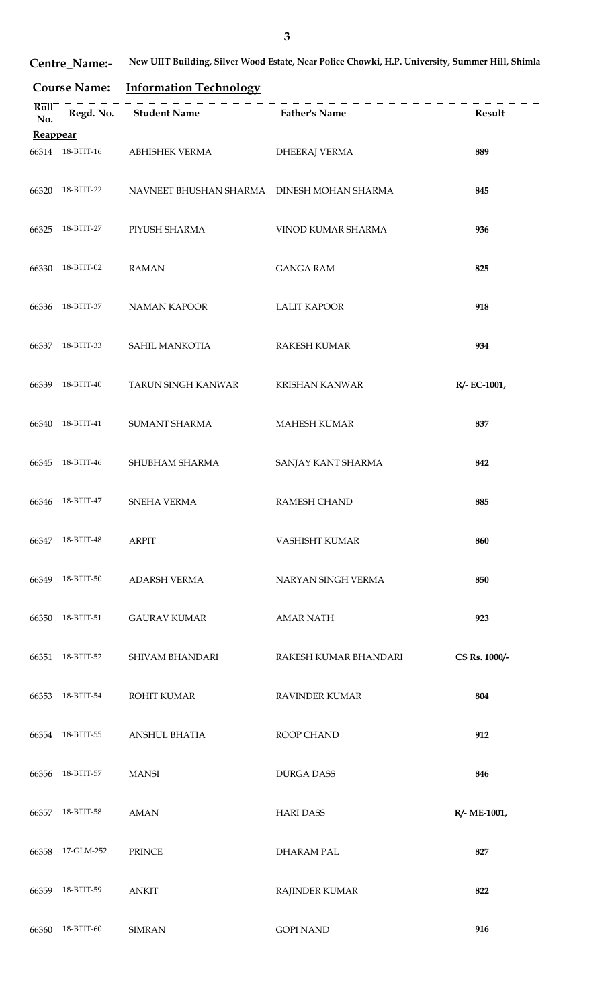| <b>Centre Name:-</b> | New UIIT Building, Silver Wood Estate, Near Police Chowki, H.P. University, Summer Hill, Shimla |
|----------------------|-------------------------------------------------------------------------------------------------|
|----------------------|-------------------------------------------------------------------------------------------------|

**Course Name: Information Technology**

| $R\overline{0}1\overline{1}$<br>No. |                  | - - - - - - - - - - - -<br>Regd. No. Student Name Father's Name |                       | Result        |
|-------------------------------------|------------------|-----------------------------------------------------------------|-----------------------|---------------|
| Reappear                            |                  |                                                                 |                       |               |
|                                     |                  | 66314 18-BTIT-16 ABHISHEK VERMA                                 | <b>DHEERAJ VERMA</b>  | 889           |
|                                     | 66320 18-BTIT-22 | NAVNEET BHUSHAN SHARMA DINESH MOHAN SHARMA                      |                       | 845           |
| 66325                               | 18-BTIT-27       | PIYUSH SHARMA                                                   | VINOD KUMAR SHARMA    | 936           |
| 66330                               | 18-BTIT-02       | <b>RAMAN</b>                                                    | <b>GANGA RAM</b>      | 825           |
| 66336                               | 18-BTIT-37       | NAMAN KAPOOR                                                    | <b>LALIT KAPOOR</b>   | 918           |
|                                     | 66337 18-BTIT-33 | SAHIL MANKOTIA                                                  | <b>RAKESH KUMAR</b>   | 934           |
| 66339                               | 18-BTIT-40       | TARUN SINGH KANWAR                                              | <b>KRISHAN KANWAR</b> | R/- EC-1001,  |
| 66340                               | 18-BTIT-41       | SUMANT SHARMA                                                   | <b>MAHESH KUMAR</b>   | 837           |
| 66345                               | 18-BTIT-46       | SHUBHAM SHARMA                                                  | SANJAY KANT SHARMA    | 842           |
| 66346                               | 18-BTIT-47       | SNEHA VERMA                                                     | RAMESH CHAND          | 885           |
|                                     | 66347 18-BTIT-48 | <b>ARPIT</b>                                                    | VASHISHT KUMAR        | 860           |
| 66349                               | 18-BTIT-50       | <b>ADARSH VERMA</b>                                             | NARYAN SINGH VERMA    | 850           |
| 66350                               | 18-BTIT-51       | <b>GAURAV KUMAR</b>                                             | <b>AMAR NATH</b>      | 923           |
| 66351                               | 18-BTIT-52       | SHIVAM BHANDARI                                                 | RAKESH KUMAR BHANDARI | CS Rs. 1000/- |
| 66353                               | 18-BTIT-54       | ROHIT KUMAR                                                     | RAVINDER KUMAR        | 804           |
| 66354                               | 18-BTIT-55       | <b>ANSHUL BHATIA</b>                                            | ROOP CHAND            | 912           |
| 66356                               | 18-BTIT-57       | <b>MANSI</b>                                                    | <b>DURGA DASS</b>     | 846           |
| 66357                               | 18-BTIT-58       | <b>AMAN</b>                                                     | <b>HARI DASS</b>      | R/- ME-1001,  |
| 66358                               | 17-GLM-252       | <b>PRINCE</b>                                                   | <b>DHARAM PAL</b>     | 827           |
| 66359                               | 18-BTIT-59       | <b>ANKIT</b>                                                    | RAJINDER KUMAR        | 822           |
| 66360                               | 18-BTIT-60       | <b>SIMRAN</b>                                                   | <b>GOPI NAND</b>      | 916           |